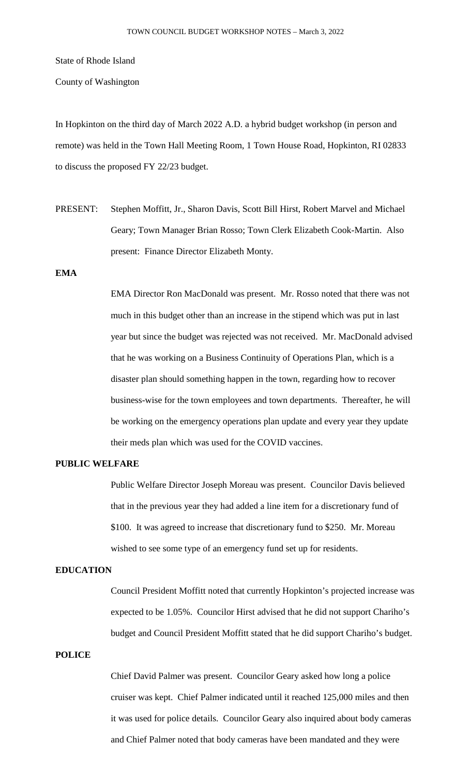State of Rhode Island

County of Washington

In Hopkinton on the third day of March 2022 A.D. a hybrid budget workshop (in person and remote) was held in the Town Hall Meeting Room, 1 Town House Road, Hopkinton, RI 02833 to discuss the proposed FY 22/23 budget.

PRESENT: Stephen Moffitt, Jr., Sharon Davis, Scott Bill Hirst, Robert Marvel and Michael Geary; Town Manager Brian Rosso; Town Clerk Elizabeth Cook-Martin. Also present: Finance Director Elizabeth Monty.

# **EMA**

EMA Director Ron MacDonald was present. Mr. Rosso noted that there was not much in this budget other than an increase in the stipend which was put in last year but since the budget was rejected was not received. Mr. MacDonald advised that he was working on a Business Continuity of Operations Plan, which is a disaster plan should something happen in the town, regarding how to recover business-wise for the town employees and town departments. Thereafter, he will be working on the emergency operations plan update and every year they update their meds plan which was used for the COVID vaccines.

### **PUBLIC WELFARE**

Public Welfare Director Joseph Moreau was present. Councilor Davis believed that in the previous year they had added a line item for a discretionary fund of \$100. It was agreed to increase that discretionary fund to \$250. Mr. Moreau wished to see some type of an emergency fund set up for residents.

## **EDUCATION**

Council President Moffitt noted that currently Hopkinton's projected increase was expected to be 1.05%. Councilor Hirst advised that he did not support Chariho's budget and Council President Moffitt stated that he did support Chariho's budget.

## **POLICE**

Chief David Palmer was present. Councilor Geary asked how long a police cruiser was kept. Chief Palmer indicated until it reached 125,000 miles and then it was used for police details. Councilor Geary also inquired about body cameras and Chief Palmer noted that body cameras have been mandated and they were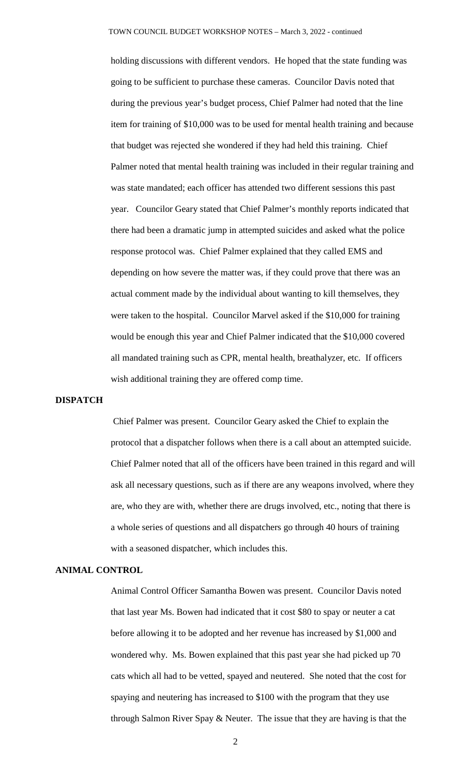holding discussions with different vendors. He hoped that the state funding was going to be sufficient to purchase these cameras. Councilor Davis noted that during the previous year's budget process, Chief Palmer had noted that the line item for training of \$10,000 was to be used for mental health training and because that budget was rejected she wondered if they had held this training. Chief Palmer noted that mental health training was included in their regular training and was state mandated; each officer has attended two different sessions this past year. Councilor Geary stated that Chief Palmer's monthly reports indicated that there had been a dramatic jump in attempted suicides and asked what the police response protocol was. Chief Palmer explained that they called EMS and depending on how severe the matter was, if they could prove that there was an actual comment made by the individual about wanting to kill themselves, they were taken to the hospital. Councilor Marvel asked if the \$10,000 for training would be enough this year and Chief Palmer indicated that the \$10,000 covered all mandated training such as CPR, mental health, breathalyzer, etc. If officers wish additional training they are offered comp time.

#### **DISPATCH**

Chief Palmer was present. Councilor Geary asked the Chief to explain the protocol that a dispatcher follows when there is a call about an attempted suicide. Chief Palmer noted that all of the officers have been trained in this regard and will ask all necessary questions, such as if there are any weapons involved, where they are, who they are with, whether there are drugs involved, etc., noting that there is a whole series of questions and all dispatchers go through 40 hours of training with a seasoned dispatcher, which includes this.

## **ANIMAL CONTROL**

Animal Control Officer Samantha Bowen was present. Councilor Davis noted that last year Ms. Bowen had indicated that it cost \$80 to spay or neuter a cat before allowing it to be adopted and her revenue has increased by \$1,000 and wondered why. Ms. Bowen explained that this past year she had picked up 70 cats which all had to be vetted, spayed and neutered. She noted that the cost for spaying and neutering has increased to \$100 with the program that they use through Salmon River Spay & Neuter. The issue that they are having is that the

2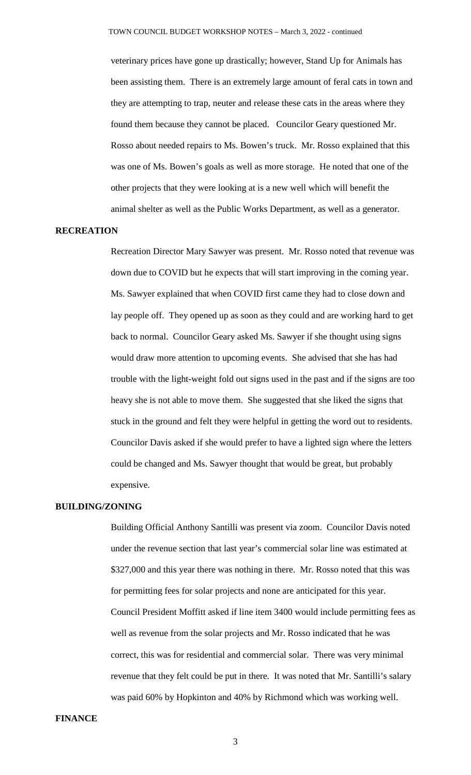veterinary prices have gone up drastically; however, Stand Up for Animals has been assisting them. There is an extremely large amount of feral cats in town and they are attempting to trap, neuter and release these cats in the areas where they found them because they cannot be placed. Councilor Geary questioned Mr. Rosso about needed repairs to Ms. Bowen's truck. Mr. Rosso explained that this was one of Ms. Bowen's goals as well as more storage. He noted that one of the other projects that they were looking at is a new well which will benefit the animal shelter as well as the Public Works Department, as well as a generator.

### **RECREATION**

Recreation Director Mary Sawyer was present. Mr. Rosso noted that revenue was down due to COVID but he expects that will start improving in the coming year. Ms. Sawyer explained that when COVID first came they had to close down and lay people off. They opened up as soon as they could and are working hard to get back to normal. Councilor Geary asked Ms. Sawyer if she thought using signs would draw more attention to upcoming events. She advised that she has had trouble with the light-weight fold out signs used in the past and if the signs are too heavy she is not able to move them. She suggested that she liked the signs that stuck in the ground and felt they were helpful in getting the word out to residents. Councilor Davis asked if she would prefer to have a lighted sign where the letters could be changed and Ms. Sawyer thought that would be great, but probably expensive.

### **BUILDING/ZONING**

Building Official Anthony Santilli was present via zoom. Councilor Davis noted under the revenue section that last year's commercial solar line was estimated at \$327,000 and this year there was nothing in there. Mr. Rosso noted that this was for permitting fees for solar projects and none are anticipated for this year. Council President Moffitt asked if line item 3400 would include permitting fees as well as revenue from the solar projects and Mr. Rosso indicated that he was correct, this was for residential and commercial solar. There was very minimal revenue that they felt could be put in there. It was noted that Mr. Santilli's salary was paid 60% by Hopkinton and 40% by Richmond which was working well.

### **FINANCE**

3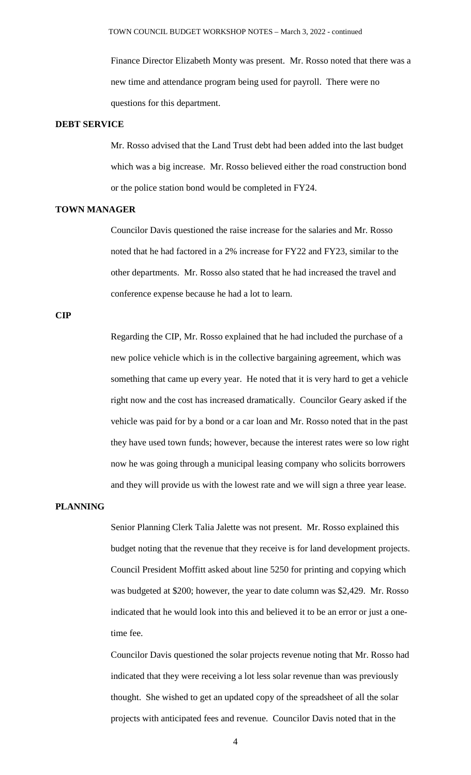Finance Director Elizabeth Monty was present. Mr. Rosso noted that there was a new time and attendance program being used for payroll. There were no questions for this department.

#### **DEBT SERVICE**

Mr. Rosso advised that the Land Trust debt had been added into the last budget which was a big increase. Mr. Rosso believed either the road construction bond or the police station bond would be completed in FY24.

## **TOWN MANAGER**

Councilor Davis questioned the raise increase for the salaries and Mr. Rosso noted that he had factored in a 2% increase for FY22 and FY23, similar to the other departments. Mr. Rosso also stated that he had increased the travel and conference expense because he had a lot to learn.

#### **CIP**

Regarding the CIP, Mr. Rosso explained that he had included the purchase of a new police vehicle which is in the collective bargaining agreement, which was something that came up every year. He noted that it is very hard to get a vehicle right now and the cost has increased dramatically. Councilor Geary asked if the vehicle was paid for by a bond or a car loan and Mr. Rosso noted that in the past they have used town funds; however, because the interest rates were so low right now he was going through a municipal leasing company who solicits borrowers and they will provide us with the lowest rate and we will sign a three year lease.

### **PLANNING**

Senior Planning Clerk Talia Jalette was not present. Mr. Rosso explained this budget noting that the revenue that they receive is for land development projects. Council President Moffitt asked about line 5250 for printing and copying which was budgeted at \$200; however, the year to date column was \$2,429. Mr. Rosso indicated that he would look into this and believed it to be an error or just a onetime fee.

Councilor Davis questioned the solar projects revenue noting that Mr. Rosso had indicated that they were receiving a lot less solar revenue than was previously thought. She wished to get an updated copy of the spreadsheet of all the solar projects with anticipated fees and revenue. Councilor Davis noted that in the

4